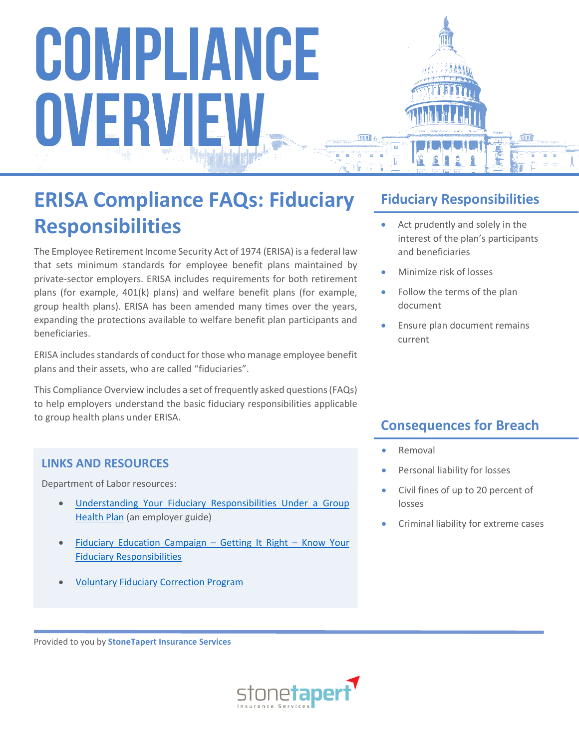# **ERISA Compliance FAQs: Fiduciary Responsibilities**

The Employee Retirement Income Security Act of 1974 (ERISA) is a federal law that sets minimum standards for employee benefit plans maintained by private-sector employers. ERISA includes requirements for both retirement plans (for example, 401(k) plans) and welfare benefit plans (for example, group health plans). ERISA has been amended many times over the years, expanding the protections available to welfare benefit plan participants and beneficiaries.

ERISA includes standards of conduct for those who manage employee benefit plans and their assets, who are called "fiduciaries".

This Compliance Overview includes a set of frequently asked questions (FAQs) to help employers understand the basic fiduciary responsibilities applicable to group health plans under ERISA.

#### **LINKS AND RESOURCES**

Department of Labor resources:

- [Understanding Your Fiduciary Responsibilities Under a Group](https://www.dol.gov/sites/default/files/ebsa/about-ebsa/our-activities/resource-center/publications/understanding-your-fiduciary-responsibilities-under-a-group-health-plan.pdf)  [Health Plan](https://www.dol.gov/sites/default/files/ebsa/about-ebsa/our-activities/resource-center/publications/understanding-your-fiduciary-responsibilities-under-a-group-health-plan.pdf) (an employer guide)
- [Fiduciary Education Campaign Getting It Right Know Your](https://www.dol.gov/agencies/ebsa/employers-and-advisers/plan-administration-and-compliance/fiduciary-responsibilities/fiduciary-education-campaign)  [Fiduciary Responsibilities](https://www.dol.gov/agencies/ebsa/employers-and-advisers/plan-administration-and-compliance/fiduciary-responsibilities/fiduciary-education-campaign)
- [Voluntary Fiduciary Correction Program](https://www.dol.gov/agencies/ebsa/employers-and-advisers/plan-administration-and-compliance/correction-programs#vfcp)

### **Fiduciary Responsibilities**

- Act prudently and solely in the interest of the plan's participants and beneficiaries
- Minimize risk of losses
- Follow the terms of the plan document
- Ensure plan document remains current

### **Consequences for Breach**

- Removal
- Personal liability for losses
- Civil fines of up to 20 percent of losses
- Criminal liability for extreme cases

Provided to you by **StoneTapert Insurance Services**

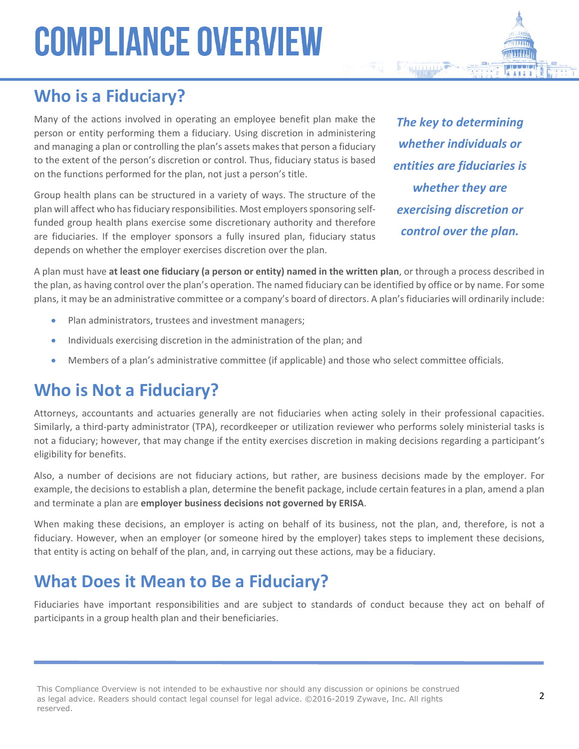### **Who is a Fiduciary?**

Many of the actions involved in operating an employee benefit plan make the person or entity performing them a fiduciary. Using discretion in administering and managing a plan or controlling the plan's assets makes that person a fiduciary to the extent of the person's discretion or control. Thus, fiduciary status is based on the functions performed for the plan, not just a person's title.

Group health plans can be structured in a variety of ways. The structure of the plan will affect who has fiduciary responsibilities. Most employers sponsoring selffunded group health plans exercise some discretionary authority and therefore are fiduciaries. If the employer sponsors a fully insured plan, fiduciary status depends on whether the employer exercises discretion over the plan.

*The key to determining whether individuals or entities are fiduciaries is whether they are exercising discretion or control over the plan.*

A plan must have **at least one fiduciary (a person or entity) named in the written plan**, or through a process described in the plan, as having control over the plan's operation. The named fiduciary can be identified by office or by name. For some plans, it may be an administrative committee or a company's board of directors. A plan's fiduciaries will ordinarily include:

- Plan administrators, trustees and investment managers;
- Individuals exercising discretion in the administration of the plan; and
- Members of a plan's administrative committee (if applicable) and those who select committee officials.

### **Who is Not a Fiduciary?**

Attorneys, accountants and actuaries generally are not fiduciaries when acting solely in their professional capacities. Similarly, a third-party administrator (TPA), recordkeeper or utilization reviewer who performs solely ministerial tasks is not a fiduciary; however, that may change if the entity exercises discretion in making decisions regarding a participant's eligibility for benefits.

Also, a number of decisions are not fiduciary actions, but rather, are business decisions made by the employer. For example, the decisions to establish a plan, determine the benefit package, include certain features in a plan, amend a plan and terminate a plan are **employer business decisions not governed by ERISA**.

When making these decisions, an employer is acting on behalf of its business, not the plan, and, therefore, is not a fiduciary. However, when an employer (or someone hired by the employer) takes steps to implement these decisions, that entity is acting on behalf of the plan, and, in carrying out these actions, may be a fiduciary.

### **What Does it Mean to Be a Fiduciary?**

Fiduciaries have important responsibilities and are subject to standards of conduct because they act on behalf of participants in a group health plan and their beneficiaries.

This Compliance Overview is not intended to be exhaustive nor should any discussion or opinions be construed as legal advice. Readers should contact legal counsel for legal advice. ©2016-2019 Zywave, Inc. All rights reserved.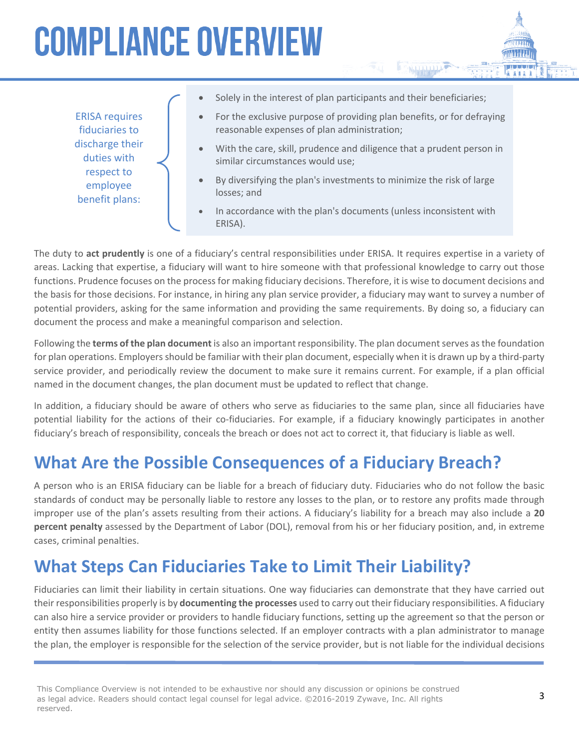ERISA requires fiduciaries to discharge their duties with respect to employee benefit plans:

- Solely in the interest of plan participants and their beneficiaries;
- For the exclusive purpose of providing plan benefits, or for defraying reasonable expenses of plan administration;
- With the care, skill, prudence and diligence that a prudent person in similar circumstances would use;
- By diversifying the plan's investments to minimize the risk of large losses; and
- In accordance with the plan's documents (unless inconsistent with ERISA).

The duty to **act prudently** is one of a fiduciary's central responsibilities under ERISA. It requires expertise in a variety of areas. Lacking that expertise, a fiduciary will want to hire someone with that professional knowledge to carry out those functions. Prudence focuses on the process for making fiduciary decisions. Therefore, it is wise to document decisions and the basis for those decisions. For instance, in hiring any plan service provider, a fiduciary may want to survey a number of potential providers, asking for the same information and providing the same requirements. By doing so, a fiduciary can document the process and make a meaningful comparison and selection.

Following the **terms of the plan document** is also an important responsibility. The plan document serves as the foundation for plan operations. Employers should be familiar with their plan document, especially when it is drawn up by a third-party service provider, and periodically review the document to make sure it remains current. For example, if a plan official named in the document changes, the plan document must be updated to reflect that change.

In addition, a fiduciary should be aware of others who serve as fiduciaries to the same plan, since all fiduciaries have potential liability for the actions of their co-fiduciaries. For example, if a fiduciary knowingly participates in another fiduciary's breach of responsibility, conceals the breach or does not act to correct it, that fiduciary is liable as well.

### **What Are the Possible Consequences of a Fiduciary Breach?**

A person who is an ERISA fiduciary can be liable for a breach of fiduciary duty. Fiduciaries who do not follow the basic standards of conduct may be personally liable to restore any losses to the plan, or to restore any profits made through improper use of the plan's assets resulting from their actions. A fiduciary's liability for a breach may also include a **20 percent penalty** assessed by the Department of Labor (DOL), removal from his or her fiduciary position, and, in extreme cases, criminal penalties.

### **What Steps Can Fiduciaries Take to Limit Their Liability?**

Fiduciaries can limit their liability in certain situations. One way fiduciaries can demonstrate that they have carried out their responsibilities properly is by **documenting the processes** used to carry out their fiduciary responsibilities. A fiduciary can also hire a service provider or providers to handle fiduciary functions, setting up the agreement so that the person or entity then assumes liability for those functions selected. If an employer contracts with a plan administrator to manage the plan, the employer is responsible for the selection of the service provider, but is not liable for the individual decisions

This Compliance Overview is not intended to be exhaustive nor should any discussion or opinions be construed as legal advice. Readers should contact legal counsel for legal advice. ©2016-2019 Zywave, Inc. All rights reserved.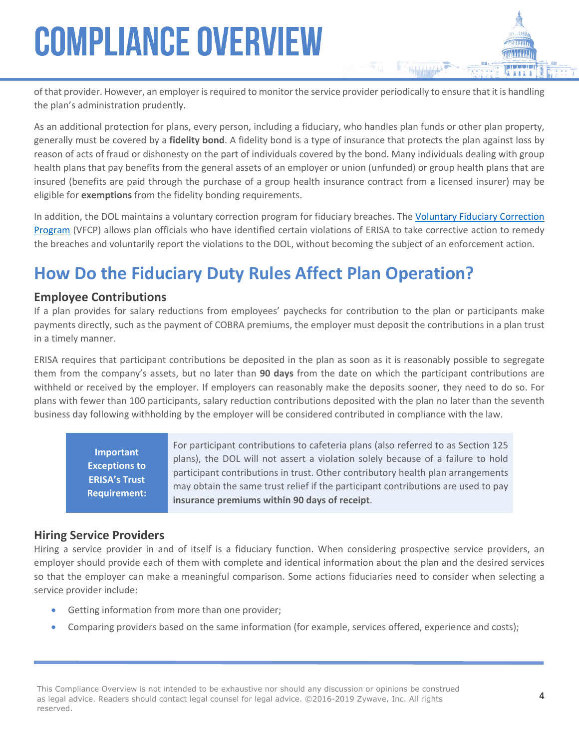of that provider. However, an employer is required to monitor the service provider periodically to ensure that it is handling the plan's administration prudently.

As an additional protection for plans, every person, including a fiduciary, who handles plan funds or other plan property, generally must be covered by a **fidelity bond**. A fidelity bond is a type of insurance that protects the plan against loss by reason of acts of fraud or dishonesty on the part of individuals covered by the bond. Many individuals dealing with group health plans that pay benefits from the general assets of an employer or union (unfunded) or group health plans that are insured (benefits are paid through the purchase of a group health insurance contract from a licensed insurer) may be eligible for **exemptions** from the fidelity bonding requirements.

In addition, the DOL maintains a voluntary correction program for fiduciary breaches. The [Voluntary Fiduciary Correction](https://www.dol.gov/sites/default/files/ebsa/about-ebsa/our-activities/resource-center/faqs/vfcp.pdf)  [Program](https://www.dol.gov/sites/default/files/ebsa/about-ebsa/our-activities/resource-center/faqs/vfcp.pdf) (VFCP) allows plan officials who have identified certain violations of ERISA to take corrective action to remedy the breaches and voluntarily report the violations to the DOL, without becoming the subject of an enforcement action.

## **How Do the Fiduciary Duty Rules Affect Plan Operation?**

#### **Employee Contributions**

If a plan provides for salary reductions from employees' paychecks for contribution to the plan or participants make payments directly, such as the payment of COBRA premiums, the employer must deposit the contributions in a plan trust in a timely manner.

ERISA requires that participant contributions be deposited in the plan as soon as it is reasonably possible to segregate them from the company's assets, but no later than **90 days** from the date on which the participant contributions are withheld or received by the employer. If employers can reasonably make the deposits sooner, they need to do so. For plans with fewer than 100 participants, salary reduction contributions deposited with the plan no later than the seventh business day following withholding by the employer will be considered contributed in compliance with the law.

**Important Exceptions to ERISA's Trust Requirement:**

For participant contributions to cafeteria plans (also referred to as Section 125 plans), the DOL will not assert a violation solely because of a failure to hold participant contributions in trust. Other contributory health plan arrangements may obtain the same trust relief if the participant contributions are used to pay **insurance premiums within 90 days of receipt**.

#### **Hiring Service Providers**

Hiring a service provider in and of itself is a fiduciary function. When considering prospective service providers, an employer should provide each of them with complete and identical information about the plan and the desired services so that the employer can make a meaningful comparison. Some actions fiduciaries need to consider when selecting a service provider include:

- Getting information from more than one provider;
- Comparing providers based on the same information (for example, services offered, experience and costs);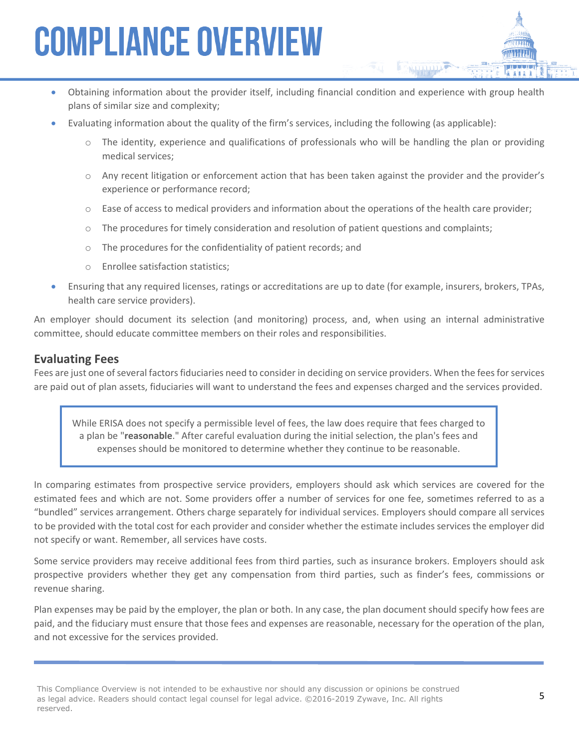- Obtaining information about the provider itself, including financial condition and experience with group health plans of similar size and complexity;
- Evaluating information about the quality of the firm's services, including the following (as applicable):
	- $\circ$  The identity, experience and qualifications of professionals who will be handling the plan or providing medical services;
	- o Any recent litigation or enforcement action that has been taken against the provider and the provider's experience or performance record;
	- $\circ$  Ease of access to medical providers and information about the operations of the health care provider;
	- o The procedures for timely consideration and resolution of patient questions and complaints;
	- o The procedures for the confidentiality of patient records; and
	- o Enrollee satisfaction statistics;
- Ensuring that any required licenses, ratings or accreditations are up to date (for example, insurers, brokers, TPAs, health care service providers).

An employer should document its selection (and monitoring) process, and, when using an internal administrative committee, should educate committee members on their roles and responsibilities.

#### **Evaluating Fees**

Fees are just one of several factors fiduciaries need to consider in deciding on service providers. When the fees for services are paid out of plan assets, fiduciaries will want to understand the fees and expenses charged and the services provided.

While ERISA does not specify a permissible level of fees, the law does require that fees charged to a plan be "**reasonable**." After careful evaluation during the initial selection, the plan's fees and expenses should be monitored to determine whether they continue to be reasonable.

In comparing estimates from prospective service providers, employers should ask which services are covered for the estimated fees and which are not. Some providers offer a number of services for one fee, sometimes referred to as a "bundled" services arrangement. Others charge separately for individual services. Employers should compare all services to be provided with the total cost for each provider and consider whether the estimate includes services the employer did not specify or want. Remember, all services have costs.

Some service providers may receive additional fees from third parties, such as insurance brokers. Employers should ask prospective providers whether they get any compensation from third parties, such as finder's fees, commissions or revenue sharing.

Plan expenses may be paid by the employer, the plan or both. In any case, the plan document should specify how fees are paid, and the fiduciary must ensure that those fees and expenses are reasonable, necessary for the operation of the plan, and not excessive for the services provided.

This Compliance Overview is not intended to be exhaustive nor should any discussion or opinions be construed as legal advice. Readers should contact legal counsel for legal advice. ©2016-2019 Zywave, Inc. All rights reserved.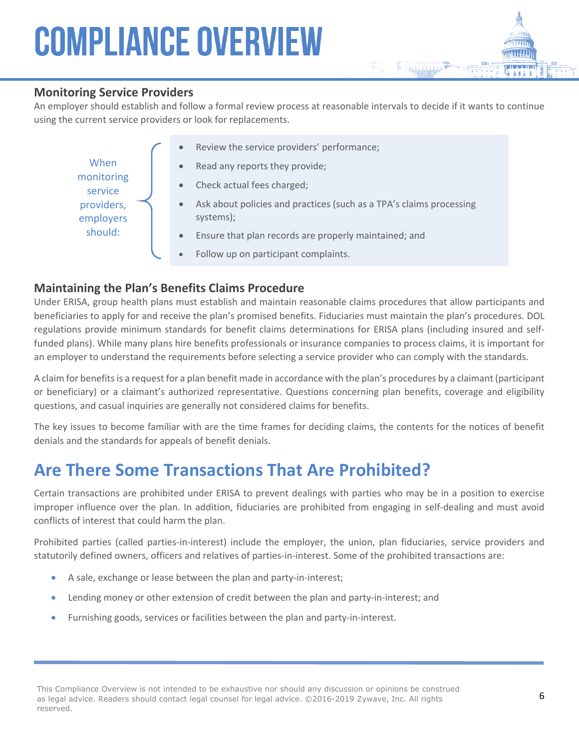#### **Monitoring Service Providers**

An employer should establish and follow a formal review process at reasonable intervals to decide if it wants to continue using the current service providers or look for replacements.

| When<br>monitoring<br>service<br>providers,<br>employers<br>should: | Review the service providers' performance;<br>$\bullet$                                       |
|---------------------------------------------------------------------|-----------------------------------------------------------------------------------------------|
|                                                                     | Read any reports they provide;<br>$\bullet$                                                   |
|                                                                     | Check actual fees charged;<br>$\bullet$                                                       |
|                                                                     | Ask about policies and practices (such as a TPA's claims processing<br>$\bullet$<br>systems); |
|                                                                     | Ensure that plan records are properly maintained; and<br>$\bullet$                            |
|                                                                     | Follow up on participant complaints.<br>$\bullet$                                             |

#### **Maintaining the Plan's Benefits Claims Procedure**

Under ERISA, group health plans must establish and maintain reasonable claims procedures that allow participants and beneficiaries to apply for and receive the plan's promised benefits. Fiduciaries must maintain the plan's procedures. DOL regulations provide minimum standards for benefit claims determinations for ERISA plans (including insured and selffunded plans). While many plans hire benefits professionals or insurance companies to process claims, it is important for an employer to understand the requirements before selecting a service provider who can comply with the standards.

A claim for benefits is a request for a plan benefit made in accordance with the plan's procedures by a claimant (participant or beneficiary) or a claimant's authorized representative. Questions concerning plan benefits, coverage and eligibility questions, and casual inquiries are generally not considered claims for benefits.

The key issues to become familiar with are the time frames for deciding claims, the contents for the notices of benefit denials and the standards for appeals of benefit denials.

### **Are There Some Transactions That Are Prohibited?**

Certain transactions are prohibited under ERISA to prevent dealings with parties who may be in a position to exercise improper influence over the plan. In addition, fiduciaries are prohibited from engaging in self-dealing and must avoid conflicts of interest that could harm the plan.

Prohibited parties (called parties-in-interest) include the employer, the union, plan fiduciaries, service providers and statutorily defined owners, officers and relatives of parties-in-interest. Some of the prohibited transactions are:

- A sale, exchange or lease between the plan and party-in-interest;
- Lending money or other extension of credit between the plan and party-in-interest; and
- Furnishing goods, services or facilities between the plan and party-in-interest.